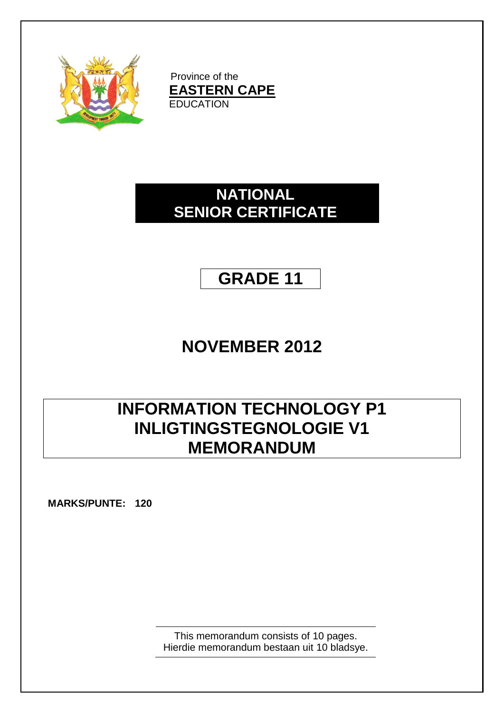

Province of the **EASTERN CAPE EDUCATION** 

## **NATIONAL SENIOR CERTIFICATE**

# **GRADE 11**

# **NOVEMBER 2012**

# **INFORMATION TECHNOLOGY P1 INLIGTINGSTEGNOLOGIE V1 MEMORANDUM**

**MARKS/PUNTE: 120**

This memorandum consists of 10 pages. Hierdie memorandum bestaan uit 10 bladsye.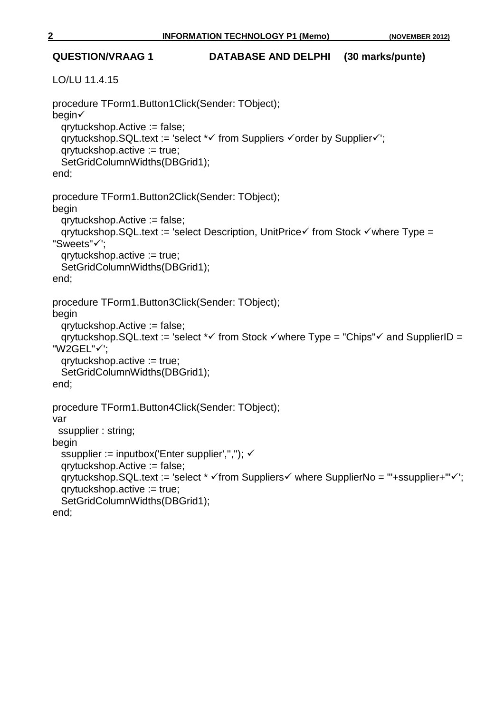## **QUESTION/VRAAG 1 DATABASE AND DELPHI (30 marks/punte)** LO/LU 11.4.15 procedure TForm1.Button1Click(Sender: TObject); begin qrytuckshop.Active := false; qrytuckshop.SQL.text := 'select  $*\checkmark$  from Suppliers  $\checkmark$  order by Supplier $\checkmark$ '; qrytuckshop.active := true; SetGridColumnWidths(DBGrid1); end; procedure TForm1.Button2Click(Sender: TObject); begin qrytuckshop.Active := false; qrytuckshop.SQL.text := 'select Description, UnitPrice $\checkmark$  from Stock  $\checkmark$  where Type = "Sweets"√'; qrytuckshop.active := true; SetGridColumnWidths(DBGrid1); end; procedure TForm1.Button3Click(Sender: TObject); begin qrytuckshop.Active := false; qrytuckshop.SQL.text := 'select  $*\checkmark$  from Stock  $*\checkmark$  where Type = "Chips" $*\checkmark$  and SupplierID = "W2GEL"√': qrytuckshop.active := true; SetGridColumnWidths(DBGrid1); end; procedure TForm1.Button4Click(Sender: TObject); var ssupplier : string; begin ssupplier := inputbox('Enter supplier',","); ✓ qrytuckshop.Active := false; qrytuckshop.SQL.text := 'select  $* \checkmark$  from Suppliers where SupplierNo = "+ssupplier+" $\checkmark$ '; qrytuckshop.active := true; SetGridColumnWidths(DBGrid1); end;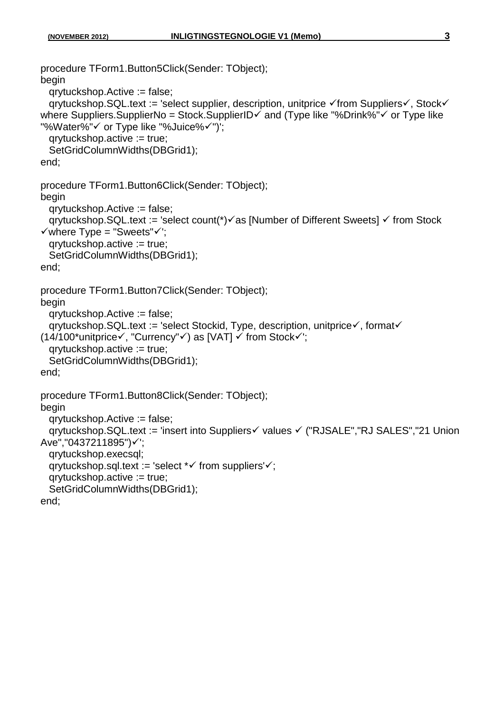```
procedure TForm1.Button5Click(Sender: TObject);
begin
   qrytuckshop.Active := false;
  qrytuckshop.SQL.text := 'select supplier, description, unitprice \checkmark from Suppliers\checkmark, Stock\checkmarkwhere Suppliers.SupplierNo = Stock.SupplierID\checkmark and (Type like "%Drink%"\checkmark or Type like
"%Water%"√ or Type like "%Juice%√")';
   qrytuckshop.active := true;
   SetGridColumnWidths(DBGrid1);
end;
procedure TForm1.Button6Click(Sender: TObject);
begin
   qrytuckshop.Active := false;
  qrytuckshop.SQL.text := 'select count(*)\checkmark as [Number of Different Sweets] \checkmark from Stock
\checkmark where Type = "Sweets"\checkmark";
   qrytuckshop.active := true;
   SetGridColumnWidths(DBGrid1);
end;
procedure TForm1.Button7Click(Sender: TObject);
begin
   qrytuckshop.Active := false;
  qrytuckshop.SQL.text := 'select Stockid, Type, description, unitprice\checkmark, format\checkmark(14/100^*unitprice\checkmark, "Currency"\checkmark) as [VAT] \checkmark from Stock\checkmark);
   qrytuckshop.active := true;
   SetGridColumnWidths(DBGrid1);
end;
procedure TForm1.Button8Click(Sender: TObject);
begin
   qrytuckshop.Active := false;
  grytuckshop.SQL.text := 'insert into Suppliers√ values √ ("RJSALE","RJ SALES","21 Union
Ave","0437211895")√';
   qrytuckshop.execsql;
  qrytuckshop.sql.text := 'select *\checkmark from suppliers'\checkmark;
   qrytuckshop.active := true;
   SetGridColumnWidths(DBGrid1);
end;
```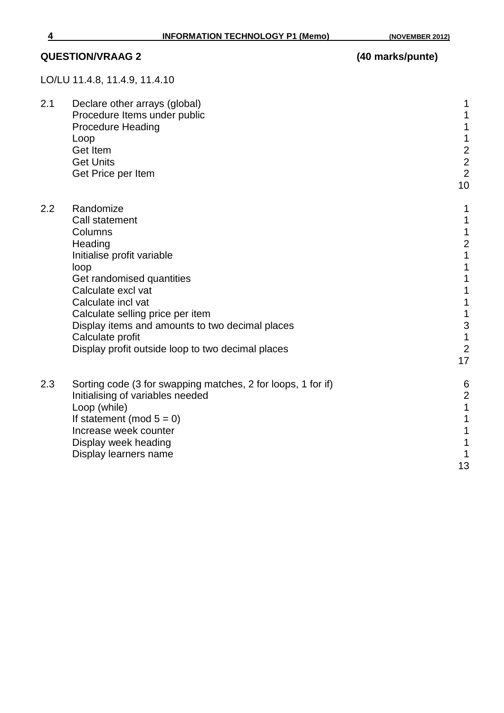## **QUESTION/VRAAG 2 (40 marks/punte)**

LO/LU 11.4.8, 11.4.9, 11.4.10

| 2.1 | Declare other arrays (global)<br>Procedure Items under public<br><b>Procedure Heading</b><br>Loop<br>Get Item<br><b>Get Units</b><br>Get Price per Item                                                                                                                                                                                 | 1<br>1<br>$\mathbf 1$<br>$\mathbf 1$<br>$\begin{array}{c} 2 \\ 2 \\ 2 \end{array}$<br>10                                                                          |
|-----|-----------------------------------------------------------------------------------------------------------------------------------------------------------------------------------------------------------------------------------------------------------------------------------------------------------------------------------------|-------------------------------------------------------------------------------------------------------------------------------------------------------------------|
| 2.2 | Randomize<br><b>Call statement</b><br>Columns<br>Heading<br>Initialise profit variable<br>loop<br>Get randomised quantities<br>Calculate excl vat<br>Calculate incl vat<br>Calculate selling price per item<br>Display items and amounts to two decimal places<br>Calculate profit<br>Display profit outside loop to two decimal places | 1<br>$\mathbf 1$<br>$\frac{1}{2}$<br>$\overline{1}$<br>1<br>1<br>1<br>$\mathbf 1$<br>$\mathbf 1$<br>$\begin{array}{c} 3 \\ 1 \end{array}$<br>$\overline{2}$<br>17 |
| 2.3 | Sorting code (3 for swapping matches, 2 for loops, 1 for if)<br>Initialising of variables needed<br>Loop (while)<br>If statement (mod $5 = 0$ )<br>Increase week counter<br>Display week heading<br>Display learners name                                                                                                               | 6<br>$\overline{2}$<br>$\overline{1}$<br>1<br>1<br>1<br>1<br>13                                                                                                   |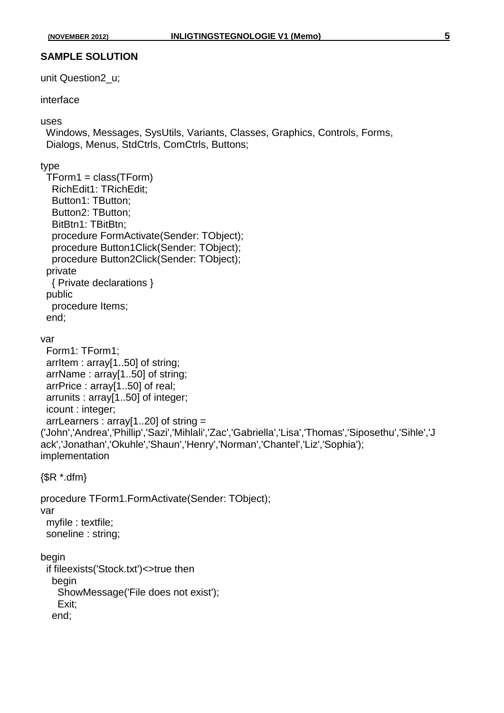### **SAMPLE SOLUTION**

unit Question2\_u;

### interface

#### uses

 Windows, Messages, SysUtils, Variants, Classes, Graphics, Controls, Forms, Dialogs, Menus, StdCtrls, ComCtrls, Buttons;

#### type

end;

```
 TForm1 = class(TForm)
   RichEdit1: TRichEdit;
   Button1: TButton;
   Button2: TButton;
   BitBtn1: TBitBtn;
   procedure FormActivate(Sender: TObject);
   procedure Button1Click(Sender: TObject);
   procedure Button2Click(Sender: TObject);
  private
   { Private declarations }
  public
   procedure Items;
  end;
var
  Form1: TForm1;
  arrItem : array[1..50] of string;
  arrName : array[1..50] of string;
  arrPrice : array[1..50] of real;
  arrunits : array[1..50] of integer;
  icount : integer;
  arrLearners : array[1..20] of string = 
('John','Andrea','Phillip','Sazi','Mihlali','Zac','Gabriella','Lisa','Thomas','Siposethu','Sihle','J
ack','Jonathan','Okuhle','Shaun','Henry','Norman','Chantel','Liz','Sophia');
implementation
\{$R *.dfm\}procedure TForm1.FormActivate(Sender: TObject);
var
  myfile : textfile;
  soneline : string;
begin
  if fileexists('Stock.txt')<>true then
   begin
     ShowMessage('File does not exist');
     Exit;
```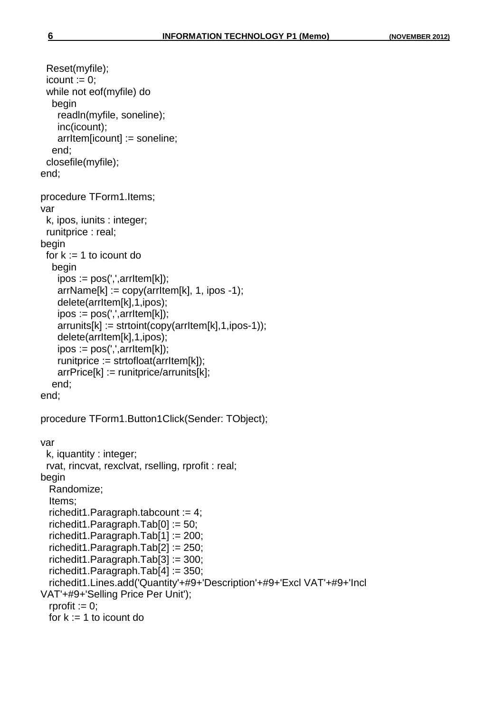```
 Reset(myfile);
 icount := 0;
  while not eof(myfile) do
   begin
     readln(myfile, soneline);
     inc(icount);
     arrItem[icount] := soneline;
   end;
  closefile(myfile);
end;
procedure TForm1.Items;
var
  k, ipos, iunits : integer;
  runitprice : real;
begin
 for k := 1 to icount do
   begin
    ipos := pos(', ' , arrItem[k]);arrName[k] := copy(arItem[k], 1, ipos -1); delete(arrItem[k],1,ipos);
     ipos := pos(',',arrItem[k]);
     arrunits[k] := strtoint(copy(arrItem[k],1,ipos-1));
     delete(arrItem[k],1,ipos);
    ipos := pos(', ' , arrItem[k]);runitprice := strtofloat(arrItem[k]);
     arrPrice[k] := runitprice/arrunits[k];
   end;
end;
procedure TForm1.Button1Click(Sender: TObject);
var
  k, iquantity : integer;
  rvat, rincvat, rexclvat, rselling, rprofit : real;
begin
   Randomize;
   Items;
  richedit1.Paragraph.tabcount := 4;
  richedit1.Paragraph.Tab[0] := 50;
   richedit1.Paragraph.Tab[1] := 200;
   richedit1.Paragraph.Tab[2] := 250;
   richedit1.Paragraph.Tab[3] := 300;
   richedit1.Paragraph.Tab[4] := 350;
   richedit1.Lines.add('Quantity'+#9+'Description'+#9+'Excl VAT'+#9+'Incl 
VAT'+#9+'Selling Price Per Unit');
  rprofit := 0;
  for k := 1 to icount do
```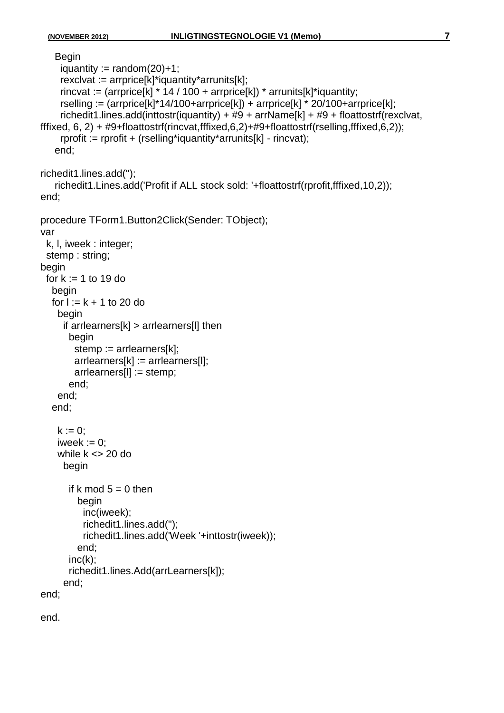```
 Begin
    iquantity := random(20)+1;
     rexclvat := arrprice[k]*iquantity*arrunits[k];
    rincvat := (arrprice[k] * 14 / 100 + arrprice[k]) * arrunits[k]*iquantity;
     rselling := (\text{arrprice}[k]^*14/100+\text{arrprice}[k]) + \text{arrprice}[k]^* 20/100+\text{arrprice}[k];richedit1.lines.add(inttostr(iquantity) + #9 + arrName[k] + #9 + floattostrf(rexclvat,
fffixed, 6, 2) + #9+floattostrf(rincvat,fffixed,6,2)+#9+floattostrf(rselling,fffixed,6,2));
      rprofit := rprofit + (rselling*iquantity*arrunits[k] - rincvat);
    end;
richedit1.lines.add('');
    richedit1.Lines.add('Profit if ALL stock sold: '+floattostrf(rprofit,fffixed,10,2));
end;
procedure TForm1.Button2Click(Sender: TObject);
var
  k, l, iweek : integer;
  stemp : string;
begin
 for k := 1 to 19 do
   begin
  for l := k + 1 to 20 do
     begin
      if arrlearners[k] > arrlearners[l] then
        begin
        stemp := arrlearners[k]:
         arrlearners[k] := arrlearners[l];
         arrlearners[l] := stemp;
        end;
     end;
   end;
    k := 0;
    iweek := 0:
    while k \leq 20 do
      begin
       if k mod 5 = 0 then
          begin
           inc(iweek);
           richedit1.lines.add('');
           richedit1.lines.add('Week '+inttostr(iweek));
          end;
       inc(k);
        richedit1.lines.Add(arrLearners[k]);
      end;
end;
```
end.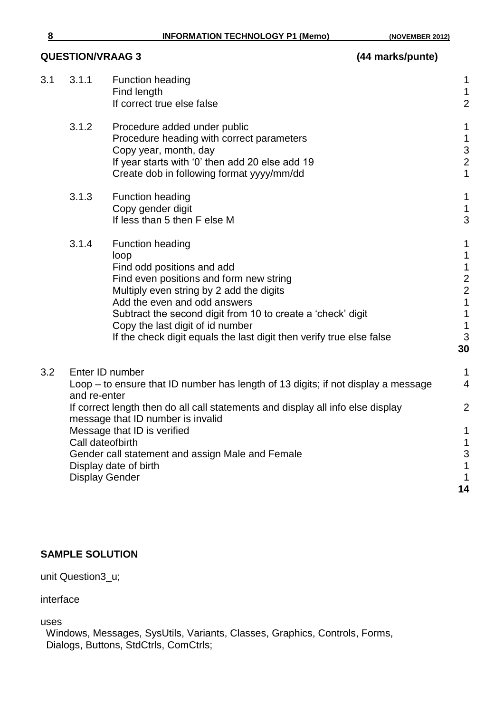## **QUESTION/VRAAG 3 (44 marks/punte)**

| 3.1 | 3.1.1                                                     | <b>Function heading</b><br>Find length<br>If correct true else false                                                                                                                                                                                                                                                                                            | $\mathbf 1$<br>$\mathbf 1$<br>$\overline{2}$                                                                           |
|-----|-----------------------------------------------------------|-----------------------------------------------------------------------------------------------------------------------------------------------------------------------------------------------------------------------------------------------------------------------------------------------------------------------------------------------------------------|------------------------------------------------------------------------------------------------------------------------|
|     | 3.1.2                                                     | Procedure added under public<br>Procedure heading with correct parameters<br>Copy year, month, day<br>If year starts with '0' then add 20 else add 19<br>Create dob in following format yyyy/mm/dd                                                                                                                                                              | $\mathbf 1$<br>$\mathbf 1$<br>3<br>$\overline{2}$<br>$\mathbf{1}$                                                      |
|     | 3.1.3                                                     | <b>Function heading</b><br>Copy gender digit<br>If less than 5 then F else M                                                                                                                                                                                                                                                                                    | $\mathbf{1}$<br>$\mathbf 1$<br>3                                                                                       |
|     | 3.1.4                                                     | <b>Function heading</b><br>loop<br>Find odd positions and add<br>Find even positions and form new string<br>Multiply even string by 2 add the digits<br>Add the even and odd answers<br>Subtract the second digit from 10 to create a 'check' digit<br>Copy the last digit of id number<br>If the check digit equals the last digit then verify true else false | $\mathbf 1$<br>$\mathbf 1$<br>$\mathbf 1$<br>$\frac{2}{2}$<br>$\mathbf{1}$<br>$\mathbf 1$<br>$\mathbf{1}$<br>3<br>30   |
| 3.2 | and re-enter<br>Call dateofbirth<br><b>Display Gender</b> | Enter ID number<br>Loop – to ensure that ID number has length of 13 digits; if not display a message<br>If correct length then do all call statements and display all info else display<br>message that ID number is invalid<br>Message that ID is verified<br>Gender call statement and assign Male and Female<br>Display date of birth                        | $\mathbf 1$<br>$\overline{4}$<br>$\overline{2}$<br>$\mathbf 1$<br>$\mathbf 1$<br>3<br>$\mathbf 1$<br>$\mathbf 1$<br>14 |

### **SAMPLE SOLUTION**

unit Question3\_u;

interface

uses

 Windows, Messages, SysUtils, Variants, Classes, Graphics, Controls, Forms, Dialogs, Buttons, StdCtrls, ComCtrls;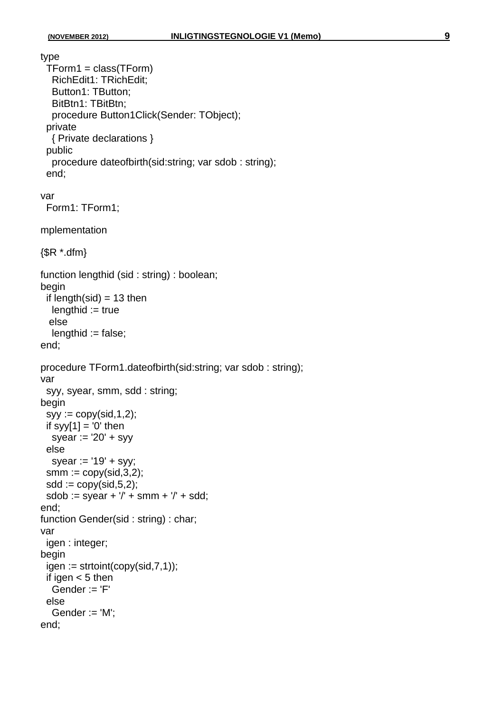type

```
 TForm1 = class(TForm)
   RichEdit1: TRichEdit;
   Button1: TButton;
   BitBtn1: TBitBtn;
   procedure Button1Click(Sender: TObject);
  private
   { Private declarations }
  public
   procedure dateofbirth(sid:string; var sdob : string);
  end;
var
  Form1: TForm1;
```

```
mplementation
```

```
\{$R *.dfm\}
```

```
function lengthid (sid : string) : boolean;
begin
 if length(sid) = 13 then
  lengthid := true else
  lengthid := false;
```

```
end;
```

```
procedure TForm1.dateofbirth(sid:string; var sdob : string);
var
  syy, syear, smm, sdd : string;
begin
 syy := copy(sid, 1, 2);if syy[1] = '0' then
  syear := 20' + syy else
  syear := '19' + syy;
 smm := copy(sid, 3, 2);sdd := \text{copy}(sid, 5, 2);sdob := syear + '/* + smm + '/* + sdd;end;
function Gender(sid : string) : char;
var
  igen : integer;
begin
 igen := strictoint(copy(sid, 7, 1)); if igen < 5 then
  Gender := 'F' else
   Gender := 'M';
end;
```